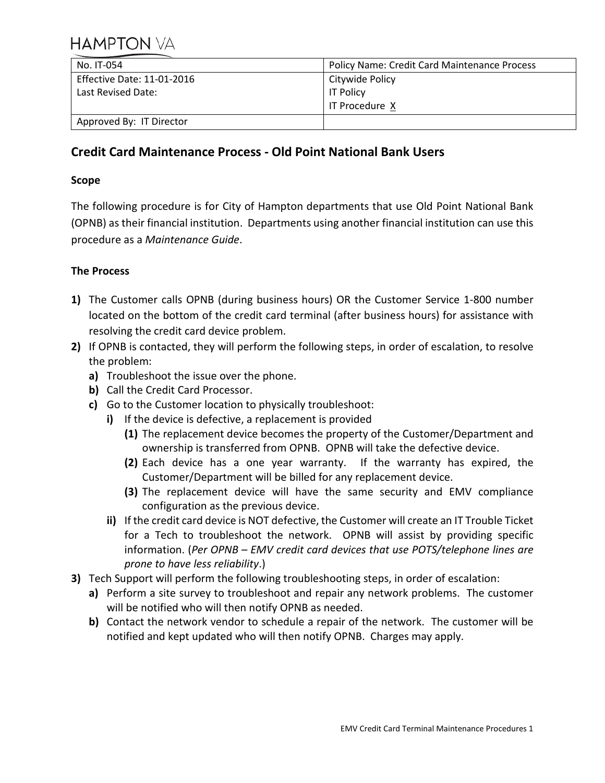| No. IT-054                 | <b>Policy Name: Credit Card Maintenance Process</b> |
|----------------------------|-----------------------------------------------------|
| Effective Date: 11-01-2016 | Citywide Policy                                     |
| Last Revised Date:         | <b>IT Policy</b>                                    |
|                            | I IT Procedure X                                    |
| Approved By: IT Director   |                                                     |

## **Credit Card Maintenance Process - Old Point National Bank Users**

## **Scope**

The following procedure is for City of Hampton departments that use Old Point National Bank (OPNB) as their financial institution. Departments using another financial institution can use this procedure as a *Maintenance Guide*.

## **The Process**

- **1)** The Customer calls OPNB (during business hours) OR the Customer Service 1-800 number located on the bottom of the credit card terminal (after business hours) for assistance with resolving the credit card device problem.
- **2)** If OPNB is contacted, they will perform the following steps, in order of escalation, to resolve the problem:
	- **a)** Troubleshoot the issue over the phone.
	- **b)** Call the Credit Card Processor.
	- **c)** Go to the Customer location to physically troubleshoot:
		- **i)** If the device is defective, a replacement is provided
			- **(1)** The replacement device becomes the property of the Customer/Department and ownership is transferred from OPNB. OPNB will take the defective device.
			- **(2)** Each device has a one year warranty. If the warranty has expired, the Customer/Department will be billed for any replacement device.
			- **(3)** The replacement device will have the same security and EMV compliance configuration as the previous device.
		- **ii)** If the credit card device is NOT defective, the Customer will create an IT Trouble Ticket for a Tech to troubleshoot the network. OPNB will assist by providing specific information. (*Per OPNB – EMV credit card devices that use POTS/telephone lines are prone to have less reliability*.)
- **3)** Tech Support will perform the following troubleshooting steps, in order of escalation:
	- **a)** Perform a site survey to troubleshoot and repair any network problems. The customer will be notified who will then notify OPNB as needed.
	- **b)** Contact the network vendor to schedule a repair of the network. The customer will be notified and kept updated who will then notify OPNB. Charges may apply.